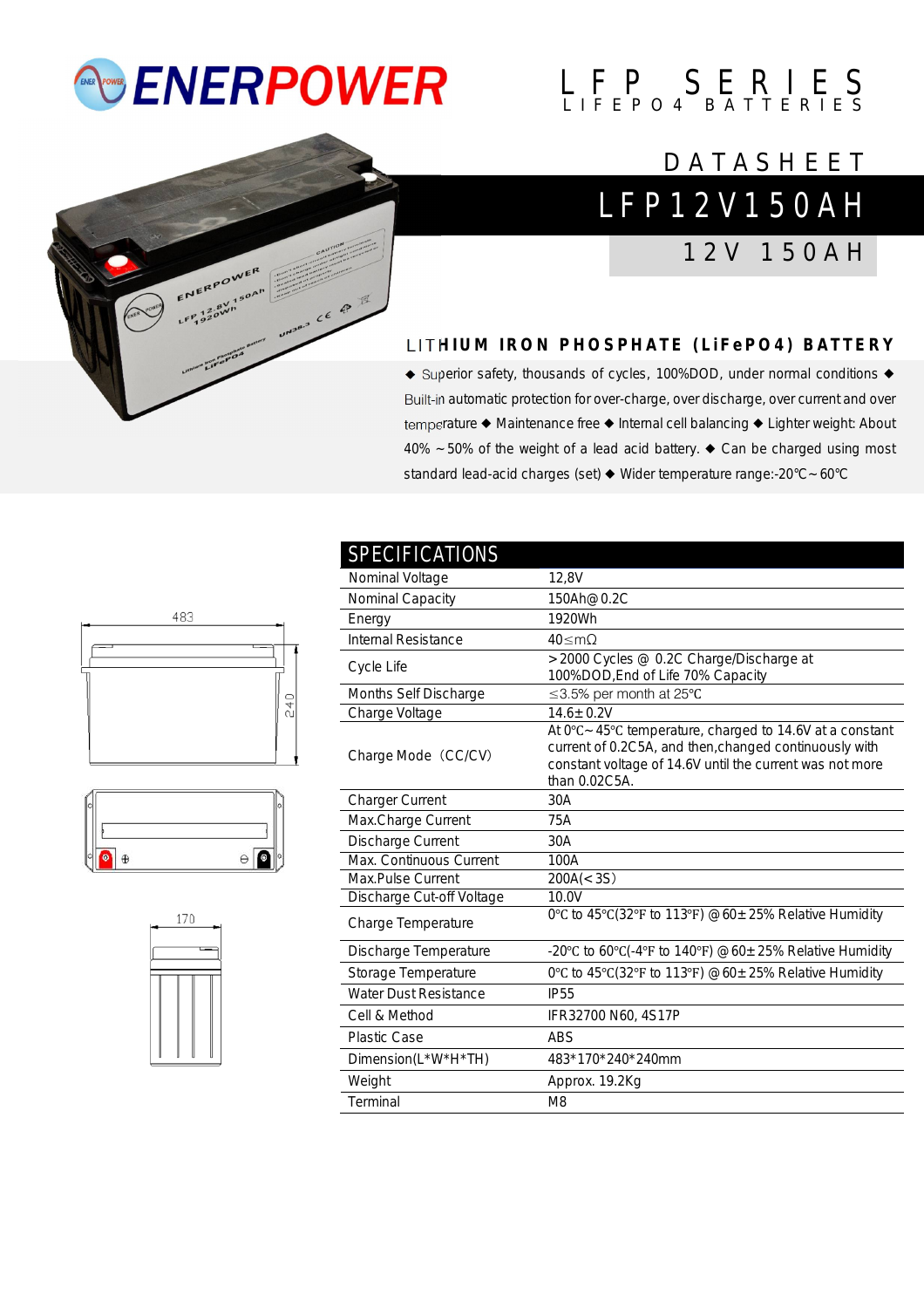## *<b>ENERPOWER*





## L F P 1 2 V 1 5 0 A H **DATASHEET**

1 2 V 1 5 0 A H

## **L I T H I U M I R O N P H O S P H A T E ( L i F e P O 4 ) B A T T E R Y**

◆ Superior safety, thousands of cycles, 100%DOD, under normal conditions ◆ Built-in automatic protection for over-charge, over discharge, over current and over temperature ◆ Maintenance free ◆ Internal cell balancing ◆ Lighter weight: About 40% ~50% of the weight of a lead acid battery. ◆ Can be charged using most standard lead-acid charges (set) ◆ Wider temperature range:-20°C~60°C







| <b>SPECIFICATIONS</b>     |                                                                                                                                                                                                 |
|---------------------------|-------------------------------------------------------------------------------------------------------------------------------------------------------------------------------------------------|
| Nominal Voltage           | 12,8V                                                                                                                                                                                           |
| Nominal Capacity          | 150Ah@0.2C                                                                                                                                                                                      |
| Energy                    | 1920Wh                                                                                                                                                                                          |
| Internal Resistance       | $40 \leq m\Omega$                                                                                                                                                                               |
| Cycle Life                | >2000 Cycles @ 0.2C Charge/Discharge at                                                                                                                                                         |
| Months Self Discharge     | 100%DOD, End of Life 70% Capacity<br>≤3.5% per month at 25°C                                                                                                                                    |
|                           |                                                                                                                                                                                                 |
| Charge Voltage            | $14.6 \pm 0.2V$                                                                                                                                                                                 |
| Charge Mode (CC/CV)       | At 0°C ~45°C temperature, charged to 14.6V at a constant<br>current of 0.2C5A, and then, changed continuously with<br>constant voltage of 14.6V until the current was not more<br>than 0.02C5A. |
| <b>Charger Current</b>    | 30A                                                                                                                                                                                             |
| Max.Charge Current        | 75A                                                                                                                                                                                             |
| Discharge Current         | 30A                                                                                                                                                                                             |
| Max. Continuous Current   | 100A                                                                                                                                                                                            |
| Max.Pulse Current         | 200A(< 3S)                                                                                                                                                                                      |
| Discharge Cut-off Voltage | 10.0V                                                                                                                                                                                           |
| Charge Temperature        | 0°C to 45°C(32°F to 113°F) $@60 \pm 25\%$ Relative Humidity                                                                                                                                     |
| Discharge Temperature     | -20°C to 60°C(-4°F to 140°F) @60 $\pm$ 25% Relative Humidity                                                                                                                                    |
| Storage Temperature       | 0°C to 45°C(32°F to 113°F) $@60 \pm 25\%$ Relative Humidity                                                                                                                                     |
| Water Dust Resistance     | <b>IP55</b>                                                                                                                                                                                     |
| Cell & Method             | IFR32700 N60, 4S17P                                                                                                                                                                             |
| <b>Plastic Case</b>       | <b>ABS</b>                                                                                                                                                                                      |
| Dimension(L*W*H*TH)       | 483*170*240*240mm                                                                                                                                                                               |
| Weight                    | Approx. 19.2Kg                                                                                                                                                                                  |
| Terminal                  | M <sub>8</sub>                                                                                                                                                                                  |